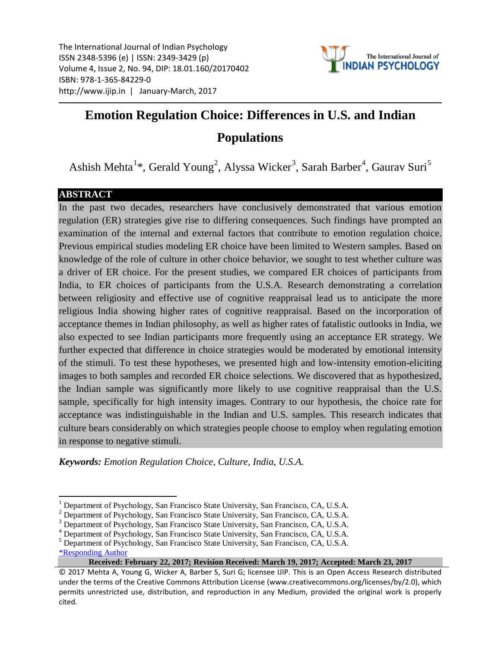The International Journal of Indian Psychology ISSN 2348-5396 (e) | ISSN: 2349-3429 (p) Volume 4, Issue 2, No. 94, DIP: 18.01.160/20170402 ISBN: 978-1-365-84229-0 http://www.ijip.in | January-March, 2017



# **Emotion Regulation Choice: Differences in U.S. and Indian Populations**

Ashish Mehta<sup>[1](#page-0-0)</sup>\*, Gerald Young<sup>[2](#page-0-1)</sup>, Alyssa Wicker<sup>[3](#page-0-2)</sup>, Sarah Barber<sup>[4](#page-0-3)</sup>, Gaurav Suri<sup>[5](#page-0-4)</sup>

# **ABSTRACT**

In the past two decades, researchers have conclusively demonstrated that various emotion regulation (ER) strategies give rise to differing consequences. Such findings have prompted an examination of the internal and external factors that contribute to emotion regulation choice. Previous empirical studies modeling ER choice have been limited to Western samples. Based on knowledge of the role of culture in other choice behavior, we sought to test whether culture was a driver of ER choice. For the present studies, we compared ER choices of participants from India, to ER choices of participants from the U.S.A. Research demonstrating a correlation between religiosity and effective use of cognitive reappraisal lead us to anticipate the more religious India showing higher rates of cognitive reappraisal. Based on the incorporation of acceptance themes in Indian philosophy, as well as higher rates of fatalistic outlooks in India, we also expected to see Indian participants more frequently using an acceptance ER strategy. We further expected that difference in choice strategies would be moderated by emotional intensity of the stimuli. To test these hypotheses, we presented high and low-intensity emotion-eliciting images to both samples and recorded ER choice selections. We discovered that as hypothesized, the Indian sample was significantly more likely to use cognitive reappraisal than the U.S. sample, specifically for high intensity images. Contrary to our hypothesis, the choice rate for acceptance was indistinguishable in the Indian and U.S. samples. This research indicates that culture bears considerably on which strategies people choose to employ when regulating emotion in response to negative stimuli.

*Keywords: Emotion Regulation Choice, Culture, India, U.S.A.*

<span id="page-0-0"></span> $<sup>1</sup>$  Department of Psychology, San Francisco State University, San Francisco, CA, U.S.A.</sup>

<span id="page-0-1"></span> $<sup>2</sup>$  Department of Psychology, San Francisco State University, San Francisco, CA, U.S.A.</sup>

<span id="page-0-2"></span><sup>&</sup>lt;sup>3</sup> Department of Psychology, San Francisco State University, San Francisco, CA, U.S.A.  $^4$  Department of Psychology, San Francisco State University, San Francisco, CA, U.S.A.

<span id="page-0-3"></span>

<span id="page-0-4"></span><sup>5</sup> Department of Psychology, San Francisco State University, San Francisco, CA, U.S.A.

[<sup>\\*</sup>Responding Author](mailto:amehta1@mail.sfsu.edu)

**Received: February 22, 2017; Revision Received: March 19, 2017; Accepted: March 23, 2017**

<sup>© 2017</sup> Mehta A, Young G, Wicker A, Barber S, Suri G; licensee IJIP. This is an Open Access Research distributed under the terms of the Creative Commons Attribution License (www.creativecommons.org/licenses/by/2.0), which permits unrestricted use, distribution, and reproduction in any Medium, provided the original work is properly cited.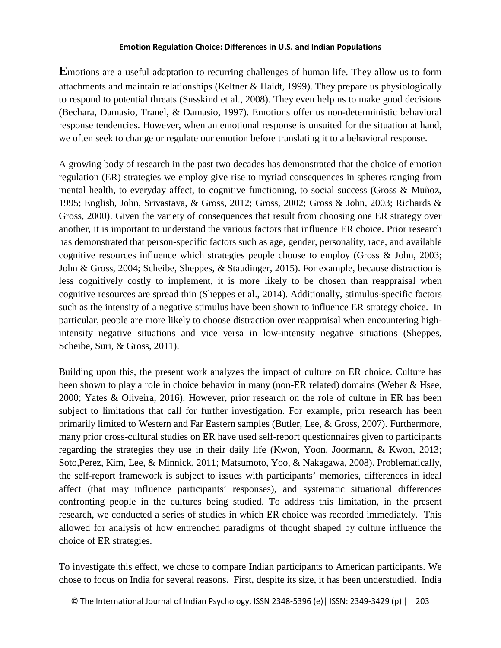**E**motions are a useful adaptation to recurring challenges of human life. They allow us to form attachments and maintain relationships (Keltner & Haidt, 1999). They prepare us physiologically to respond to potential threats (Susskind et al., 2008). They even help us to make good decisions (Bechara, Damasio, Tranel, & Damasio, 1997). Emotions offer us non-deterministic behavioral response tendencies. However, when an emotional response is unsuited for the situation at hand, we often seek to change or regulate our emotion before translating it to a behavioral response.

A growing body of research in the past two decades has demonstrated that the choice of emotion regulation (ER) strategies we employ give rise to myriad consequences in spheres ranging from mental health, to everyday affect, to cognitive functioning, to social success (Gross & Muñoz, 1995; English, John, Srivastava, & Gross, 2012; Gross, 2002; Gross & John, 2003; Richards & Gross, 2000). Given the variety of consequences that result from choosing one ER strategy over another, it is important to understand the various factors that influence ER choice. Prior research has demonstrated that person-specific factors such as age, gender, personality, race, and available cognitive resources influence which strategies people choose to employ (Gross & John, 2003; John & Gross, 2004; Scheibe, Sheppes, & Staudinger, 2015). For example, because distraction is less cognitively costly to implement, it is more likely to be chosen than reappraisal when cognitive resources are spread thin (Sheppes et al., 2014). Additionally, stimulus-specific factors such as the intensity of a negative stimulus have been shown to influence ER strategy choice. In particular, people are more likely to choose distraction over reappraisal when encountering highintensity negative situations and vice versa in low-intensity negative situations (Sheppes, Scheibe, Suri, & Gross, 2011).

Building upon this, the present work analyzes the impact of culture on ER choice. Culture has been shown to play a role in choice behavior in many (non-ER related) domains (Weber & Hsee, 2000; Yates & Oliveira, 2016). However, prior research on the role of culture in ER has been subject to limitations that call for further investigation. For example, prior research has been primarily limited to Western and Far Eastern samples (Butler, Lee, & Gross, 2007). Furthermore, many prior cross-cultural studies on ER have used self-report questionnaires given to participants regarding the strategies they use in their daily life (Kwon, Yoon, Joormann, & Kwon, 2013; Soto,Perez, Kim, Lee, & Minnick, 2011; Matsumoto, Yoo, & Nakagawa, 2008). Problematically, the self-report framework is subject to issues with participants' memories, differences in ideal affect (that may influence participants' responses), and systematic situational differences confronting people in the cultures being studied. To address this limitation, in the present research, we conducted a series of studies in which ER choice was recorded immediately. This allowed for analysis of how entrenched paradigms of thought shaped by culture influence the choice of ER strategies.

To investigate this effect, we chose to compare Indian participants to American participants. We chose to focus on India for several reasons. First, despite its size, it has been understudied. India

© The International Journal of Indian Psychology, ISSN 2348-5396 (e)| ISSN: 2349-3429 (p) | 203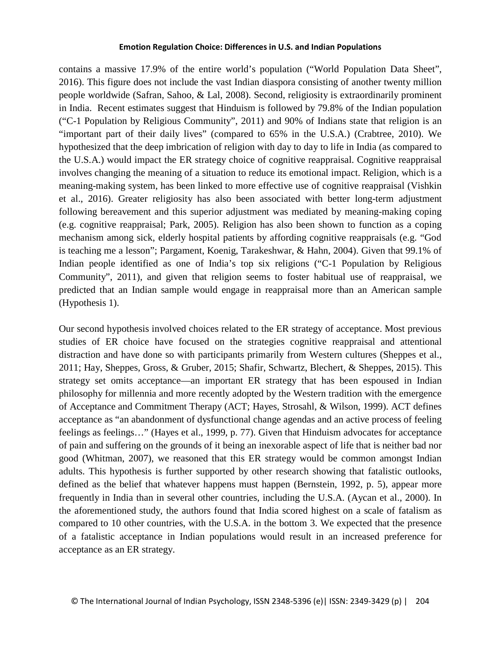contains a massive 17.9% of the entire world's population ("World Population Data Sheet", 2016). This figure does not include the vast Indian diaspora consisting of another twenty million people worldwide (Safran, Sahoo, & Lal, 2008). Second, religiosity is extraordinarily prominent in India. Recent estimates suggest that Hinduism is followed by 79.8% of the Indian population ("C-1 Population by Religious Community", 2011) and 90% of Indians state that religion is an "important part of their daily lives" (compared to 65% in the U.S.A.) (Crabtree, 2010). We hypothesized that the deep imbrication of religion with day to day to life in India (as compared to the U.S.A.) would impact the ER strategy choice of cognitive reappraisal. Cognitive reappraisal involves changing the meaning of a situation to reduce its emotional impact. Religion, which is a meaning-making system, has been linked to more effective use of cognitive reappraisal (Vishkin et al., 2016). Greater religiosity has also been associated with better long-term adjustment following bereavement and this superior adjustment was mediated by meaning-making coping (e.g. cognitive reappraisal; Park, 2005). Religion has also been shown to function as a coping mechanism among sick, elderly hospital patients by affording cognitive reappraisals (e.g. "God is teaching me a lesson"; Pargament, Koenig, Tarakeshwar, & Hahn, 2004). Given that 99.1% of Indian people identified as one of India's top six religions ("C-1 Population by Religious Community", 2011), and given that religion seems to foster habitual use of reappraisal, we predicted that an Indian sample would engage in reappraisal more than an American sample (Hypothesis 1).

Our second hypothesis involved choices related to the ER strategy of acceptance. Most previous studies of ER choice have focused on the strategies cognitive reappraisal and attentional distraction and have done so with participants primarily from Western cultures (Sheppes et al., 2011; Hay, Sheppes, Gross, & Gruber, 2015; Shafir, Schwartz, Blechert, & Sheppes, 2015). This strategy set omits acceptance—an important ER strategy that has been espoused in Indian philosophy for millennia and more recently adopted by the Western tradition with the emergence of Acceptance and Commitment Therapy (ACT; Hayes, Strosahl, & Wilson, 1999). ACT defines acceptance as "an abandonment of dysfunctional change agendas and an active process of feeling feelings as feelings…" (Hayes et al., 1999, p. 77). Given that Hinduism advocates for acceptance of pain and suffering on the grounds of it being an inexorable aspect of life that is neither bad nor good (Whitman, 2007), we reasoned that this ER strategy would be common amongst Indian adults. This hypothesis is further supported by other research showing that fatalistic outlooks, defined as the belief that whatever happens must happen (Bernstein, 1992, p. 5), appear more frequently in India than in several other countries, including the U.S.A. (Aycan et al., 2000). In the aforementioned study, the authors found that India scored highest on a scale of fatalism as compared to 10 other countries, with the U.S.A. in the bottom 3. We expected that the presence of a fatalistic acceptance in Indian populations would result in an increased preference for acceptance as an ER strategy.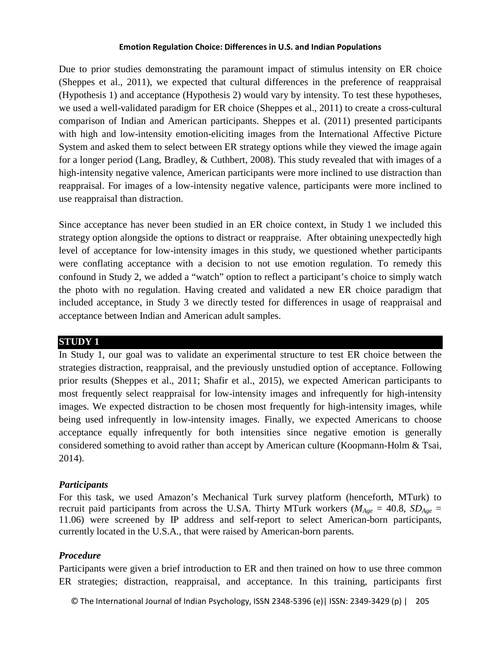Due to prior studies demonstrating the paramount impact of stimulus intensity on ER choice (Sheppes et al., 2011), we expected that cultural differences in the preference of reappraisal (Hypothesis 1) and acceptance (Hypothesis 2) would vary by intensity. To test these hypotheses, we used a well-validated paradigm for ER choice (Sheppes et al., 2011) to create a cross-cultural comparison of Indian and American participants. Sheppes et al. (2011) presented participants with high and low-intensity emotion-eliciting images from the International Affective Picture System and asked them to select between ER strategy options while they viewed the image again for a longer period (Lang, Bradley, & Cuthbert, 2008). This study revealed that with images of a high-intensity negative valence, American participants were more inclined to use distraction than reappraisal. For images of a low-intensity negative valence, participants were more inclined to use reappraisal than distraction.

Since acceptance has never been studied in an ER choice context, in Study 1 we included this strategy option alongside the options to distract or reappraise. After obtaining unexpectedly high level of acceptance for low-intensity images in this study, we questioned whether participants were conflating acceptance with a decision to not use emotion regulation. To remedy this confound in Study 2, we added a "watch" option to reflect a participant's choice to simply watch the photo with no regulation. Having created and validated a new ER choice paradigm that included acceptance, in Study 3 we directly tested for differences in usage of reappraisal and acceptance between Indian and American adult samples.

# **STUDY 1**

In Study 1, our goal was to validate an experimental structure to test ER choice between the strategies distraction, reappraisal, and the previously unstudied option of acceptance. Following prior results (Sheppes et al., 2011; Shafir et al., 2015), we expected American participants to most frequently select reappraisal for low-intensity images and infrequently for high-intensity images. We expected distraction to be chosen most frequently for high-intensity images, while being used infrequently in low-intensity images. Finally, we expected Americans to choose acceptance equally infrequently for both intensities since negative emotion is generally considered something to avoid rather than accept by American culture (Koopmann-Holm & Tsai, 2014).

# *Participants*

For this task, we used Amazon's Mechanical Turk survey platform (henceforth, MTurk) to recruit paid participants from across the U.S.A. Thirty MTurk workers ( $M_{Age} = 40.8$ ,  $SD_{Age} =$ 11.06) were screened by IP address and self-report to select American-born participants, currently located in the U.S.A., that were raised by American-born parents.

# *Procedure*

Participants were given a brief introduction to ER and then trained on how to use three common ER strategies; distraction, reappraisal, and acceptance. In this training, participants first

© The International Journal of Indian Psychology, ISSN 2348-5396 (e)| ISSN: 2349-3429 (p) | 205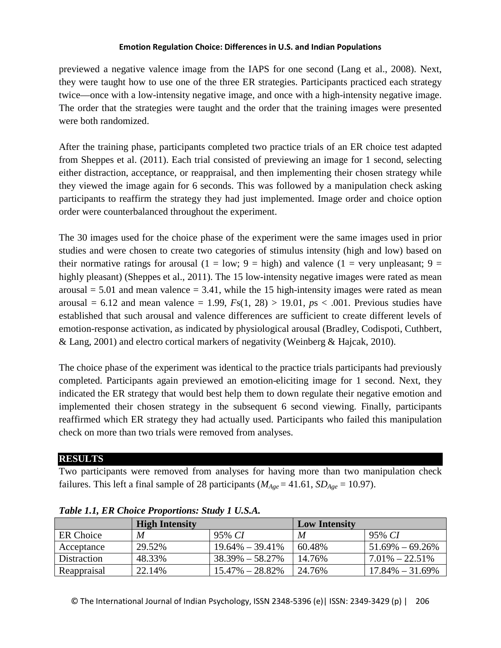previewed a negative valence image from the IAPS for one second (Lang et al., 2008). Next, they were taught how to use one of the three ER strategies. Participants practiced each strategy twice—once with a low-intensity negative image, and once with a high-intensity negative image. The order that the strategies were taught and the order that the training images were presented were both randomized.

After the training phase, participants completed two practice trials of an ER choice test adapted from Sheppes et al. (2011). Each trial consisted of previewing an image for 1 second, selecting either distraction, acceptance, or reappraisal, and then implementing their chosen strategy while they viewed the image again for 6 seconds. This was followed by a manipulation check asking participants to reaffirm the strategy they had just implemented. Image order and choice option order were counterbalanced throughout the experiment.

The 30 images used for the choice phase of the experiment were the same images used in prior studies and were chosen to create two categories of stimulus intensity (high and low) based on their normative ratings for arousal (1 = low; 9 = high) and valence (1 = very unpleasant; 9 = highly pleasant) (Sheppes et al., 2011). The 15 low-intensity negative images were rated as mean arousal  $= 5.01$  and mean valence  $= 3.41$ , while the 15 high-intensity images were rated as mean arousal =  $6.12$  and mean valence = 1.99,  $Fs(1, 28) > 19.01$ ,  $ps < .001$ . Previous studies have established that such arousal and valence differences are sufficient to create different levels of emotion-response activation, as indicated by physiological arousal (Bradley, Codispoti, Cuthbert, & Lang, 2001) and electro cortical markers of negativity (Weinberg & Hajcak, 2010).

The choice phase of the experiment was identical to the practice trials participants had previously completed. Participants again previewed an emotion-eliciting image for 1 second. Next, they indicated the ER strategy that would best help them to down regulate their negative emotion and implemented their chosen strategy in the subsequent 6 second viewing. Finally, participants reaffirmed which ER strategy they had actually used. Participants who failed this manipulation check on more than two trials were removed from analyses.

# **RESULTS**

Two participants were removed from analyses for having more than two manipulation check failures. This left a final sample of 28 participants ( $M_{Age} = 41.61$ ,  $SD_{Age} = 10.97$ ).

|             | <b>High Intensity</b> |                     | <b>Low Intensity</b> |                     |
|-------------|-----------------------|---------------------|----------------------|---------------------|
| ER Choice   | M                     | 95% CI              | M                    | 95% CI              |
| Acceptance  | 29.52%                | $19.64\% - 39.41\%$ | 60.48%               | $1.69\% - 69.26\%$  |
| Distraction | 48.33%                | $38.39\% - 58.27\%$ | 14.76%               | $7.01\% - 22.51\%$  |
| Reappraisal | 22.14%                | $15.47\% - 28.82\%$ | 24.76%               | $17.84\% - 31.69\%$ |

*Table 1.1, ER Choice Proportions: Study 1 U.S.A.*

© The International Journal of Indian Psychology, ISSN 2348-5396 (e)| ISSN: 2349-3429 (p) | 206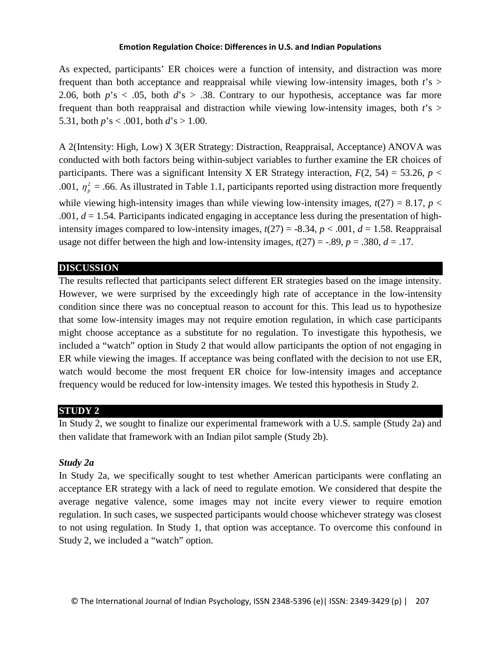As expected, participants' ER choices were a function of intensity, and distraction was more frequent than both acceptance and reappraisal while viewing low-intensity images, both *t*'s > 2.06, both  $p$ 's  $\lt$  0.05, both  $d$ 's  $> 0.38$ . Contrary to our hypothesis, acceptance was far more frequent than both reappraisal and distraction while viewing low-intensity images, both *t*'s > 5.31, both  $p$ 's < .001, both  $d$ 's > 1.00.

A 2(Intensity: High, Low) X 3(ER Strategy: Distraction, Reappraisal, Acceptance) ANOVA was conducted with both factors being within-subject variables to further examine the ER choices of participants. There was a significant Intensity X ER Strategy interaction,  $F(2, 54) = 53.26$ ,  $p <$ .001,  $\eta_p^2$  = .66. As illustrated in Table 1.1, participants reported using distraction more frequently while viewing high-intensity images than while viewing low-intensity images,  $t(27) = 8.17$ ,  $p <$ .001, *d* = 1.54. Participants indicated engaging in acceptance less during the presentation of highintensity images compared to low-intensity images,  $t(27) = -8.34$ ,  $p < .001$ ,  $d = 1.58$ . Reappraisal usage not differ between the high and low-intensity images,  $t(27) = -.89$ ,  $p = .380$ ,  $d = .17$ .

## **DISCUSSION**

The results reflected that participants select different ER strategies based on the image intensity. However, we were surprised by the exceedingly high rate of acceptance in the low-intensity condition since there was no conceptual reason to account for this. This lead us to hypothesize that some low-intensity images may not require emotion regulation, in which case participants might choose acceptance as a substitute for no regulation. To investigate this hypothesis, we included a "watch" option in Study 2 that would allow participants the option of not engaging in ER while viewing the images. If acceptance was being conflated with the decision to not use ER, watch would become the most frequent ER choice for low-intensity images and acceptance frequency would be reduced for low-intensity images. We tested this hypothesis in Study 2.

# **STUDY 2**

In Study 2, we sought to finalize our experimental framework with a U.S. sample (Study 2a) and then validate that framework with an Indian pilot sample (Study 2b).

# *Study 2a*

In Study 2a, we specifically sought to test whether American participants were conflating an acceptance ER strategy with a lack of need to regulate emotion. We considered that despite the average negative valence, some images may not incite every viewer to require emotion regulation. In such cases, we suspected participants would choose whichever strategy was closest to not using regulation. In Study 1, that option was acceptance. To overcome this confound in Study 2, we included a "watch" option.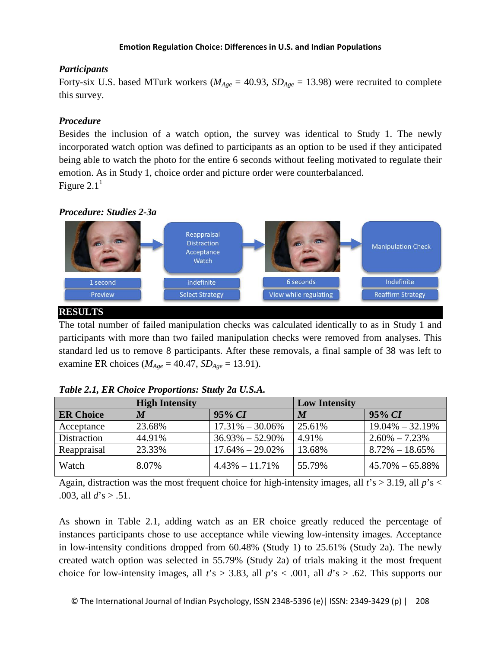## *Participants*

Forty-six U.S. based MTurk workers ( $M_{Age} = 40.93$ ,  $SD_{Age} = 13.98$ ) were recruited to complete this survey.

# *Procedure*

Besides the inclusion of a watch option, the survey was identical to Study 1. The newly incorporated watch option was defined to participants as an option to be used if they anticipated being able to watch the photo for the entire 6 seconds without feeling motivated to regulate their emotion. As in Study 1, choice order and picture order were counterbalanced. Figure  $2.1<sup>1</sup>$ 

# *Procedure: Studies 2-3a*



# **RESULTS**

The total number of failed manipulation checks was calculated identically to as in Study 1 and participants with more than two failed manipulation checks were removed from analyses. This standard led us to remove 8 participants. After these removals, a final sample of 38 was left to examine ER choices ( $M_{Age} = 40.47$ ,  $SD_{Age} = 13.91$ ).

|                  | <b>High Intensity</b> |                     | <b>Low Intensity</b> |                     |
|------------------|-----------------------|---------------------|----------------------|---------------------|
| <b>ER Choice</b> | M                     | $95\% CI$           | M                    | $95\% CI$           |
| Acceptance       | 23.68%                | $17.31\% - 30.06\%$ | 25.61%               | $19.04\% - 32.19\%$ |
| Distraction      | 44.91%                | $36.93\% - 52.90\%$ | 4.91%                | $2.60\% - 7.23\%$   |
| Reappraisal      | 23.33%                | $17.64\% - 29.02\%$ | 13.68%               | $8.72\% - 18.65\%$  |
| Watch            | 8.07%                 | $4.43\% - 11.71\%$  | 55.79%               | $45.70\% - 65.88\%$ |

|  |  |  |  | Table 2.1, ER Choice Proportions: Study 2a U.S.A. |  |  |  |
|--|--|--|--|---------------------------------------------------|--|--|--|
|--|--|--|--|---------------------------------------------------|--|--|--|

Again, distraction was the most frequent choice for high-intensity images, all *t*'s > 3.19, all *p*'s < .003, all *d*'s > .51.

As shown in Table 2.1, adding watch as an ER choice greatly reduced the percentage of instances participants chose to use acceptance while viewing low-intensity images. Acceptance in low-intensity conditions dropped from 60.48% (Study 1) to 25.61% (Study 2a). The newly created watch option was selected in 55.79% (Study 2a) of trials making it the most frequent choice for low-intensity images, all  $t's > 3.83$ , all  $p's < .001$ , all  $d's > .62$ . This supports our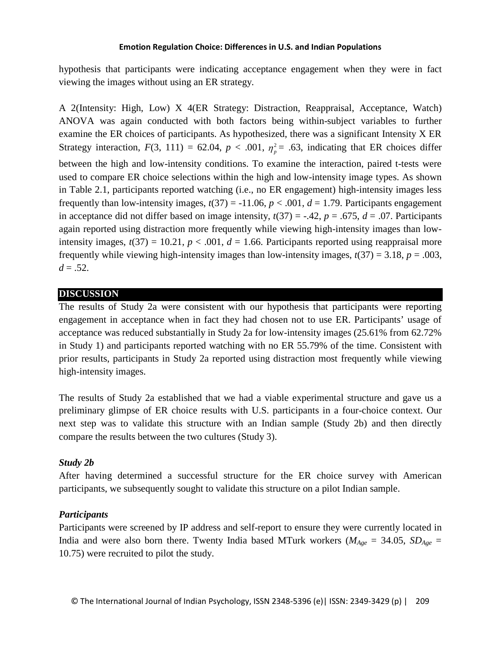hypothesis that participants were indicating acceptance engagement when they were in fact viewing the images without using an ER strategy.

A 2(Intensity: High, Low) X 4(ER Strategy: Distraction, Reappraisal, Acceptance, Watch) ANOVA was again conducted with both factors being within-subject variables to further examine the ER choices of participants. As hypothesized, there was a significant Intensity X ER Strategy interaction,  $F(3, 111) = 62.04$ ,  $p < .001$ ,  $\eta_p^2 = .63$ , indicating that ER choices differ between the high and low-intensity conditions. To examine the interaction, paired t-tests were used to compare ER choice selections within the high and low-intensity image types. As shown in Table 2.1, participants reported watching (i.e., no ER engagement) high-intensity images less frequently than low-intensity images,  $t(37) = -11.06$ ,  $p < .001$ ,  $d = 1.79$ . Participants engagement in acceptance did not differ based on image intensity,  $t(37) = -.42$ ,  $p = .675$ ,  $d = .07$ . Participants again reported using distraction more frequently while viewing high-intensity images than lowintensity images,  $t(37) = 10.21$ ,  $p < .001$ ,  $d = 1.66$ . Participants reported using reappraisal more frequently while viewing high-intensity images than low-intensity images,  $t(37) = 3.18$ ,  $p = .003$ ,  $d = .52$ .

# **DISCUSSION**

The results of Study 2a were consistent with our hypothesis that participants were reporting engagement in acceptance when in fact they had chosen not to use ER. Participants' usage of acceptance was reduced substantially in Study 2a for low-intensity images (25.61% from 62.72% in Study 1) and participants reported watching with no ER 55.79% of the time. Consistent with prior results, participants in Study 2a reported using distraction most frequently while viewing high-intensity images.

The results of Study 2a established that we had a viable experimental structure and gave us a preliminary glimpse of ER choice results with U.S. participants in a four-choice context. Our next step was to validate this structure with an Indian sample (Study 2b) and then directly compare the results between the two cultures (Study 3).

# *Study 2b*

After having determined a successful structure for the ER choice survey with American participants, we subsequently sought to validate this structure on a pilot Indian sample.

# *Participants*

Participants were screened by IP address and self-report to ensure they were currently located in India and were also born there. Twenty India based MTurk workers ( $M_{Age} = 34.05$ ,  $SD_{Age} =$ 10.75) were recruited to pilot the study.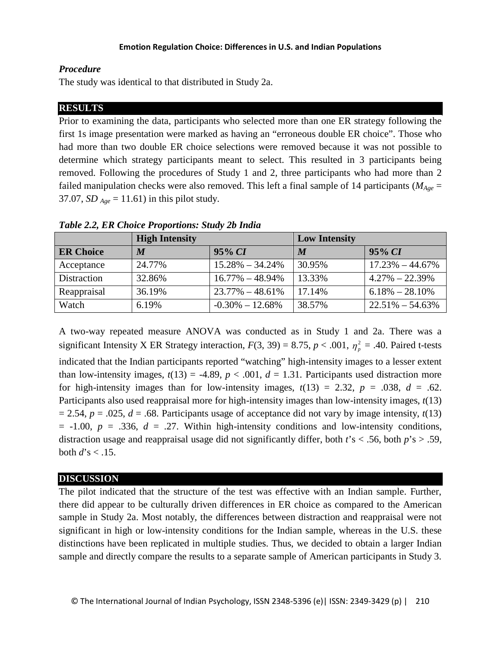# *Procedure*

The study was identical to that distributed in Study 2a.

# **RESULTS**

Prior to examining the data, participants who selected more than one ER strategy following the first 1s image presentation were marked as having an "erroneous double ER choice". Those who had more than two double ER choice selections were removed because it was not possible to determine which strategy participants meant to select. This resulted in 3 participants being removed. Following the procedures of Study 1 and 2, three participants who had more than 2 failed manipulation checks were also removed. This left a final sample of 14 participants ( $M_{Age}$  = 37.07, *SD Age* = 11.61) in this pilot study.

|                  | <b>High Intensity</b> |                     | <b>Low Intensity</b> |                     |
|------------------|-----------------------|---------------------|----------------------|---------------------|
| <b>ER Choice</b> | $\boldsymbol{M}$      | $95\% CI$           | $\boldsymbol{M}$     | $95\% CI$           |
| Acceptance       | 24.77%                | $15.28\% - 34.24\%$ | 30.95%               | $17.23\% - 44.67\%$ |
| Distraction      | 32.86%                | $16.77\% - 48.94\%$ | 13.33%               | $4.27\% - 22.39\%$  |
| Reappraisal      | 36.19%                | $23.77\% - 48.61\%$ | 17.14%               | $6.18\% - 28.10\%$  |
| Watch            | 6.19%                 | $-0.30\% - 12.68\%$ | 38.57%               | $22.51\% - 54.63\%$ |

*Table 2.2, ER Choice Proportions: Study 2b India*

A two-way repeated measure ANOVA was conducted as in Study 1 and 2a. There was a significant Intensity X ER Strategy interaction,  $F(3, 39) = 8.75$ ,  $p < .001$ ,  $\eta_p^2 = .40$ . Paired t-tests indicated that the Indian participants reported "watching" high-intensity images to a lesser extent than low-intensity images,  $t(13) = -4.89$ ,  $p < .001$ ,  $d = 1.31$ . Participants used distraction more for high-intensity images than for low-intensity images,  $t(13) = 2.32$ ,  $p = .038$ ,  $d = .62$ . Participants also used reappraisal more for high-intensity images than low-intensity images, *t*(13)  $= 2.54$ ,  $p = .025$ ,  $d = .68$ . Participants usage of acceptance did not vary by image intensity,  $t(13)$  $= -1.00$ ,  $p = .336$ ,  $d = .27$ . Within high-intensity conditions and low-intensity conditions, distraction usage and reappraisal usage did not significantly differ, both *t*'s < .56, both *p*'s > .59, both  $d$ 's < .15.

# **DISCUSSION**

The pilot indicated that the structure of the test was effective with an Indian sample. Further, there did appear to be culturally driven differences in ER choice as compared to the American sample in Study 2a. Most notably, the differences between distraction and reappraisal were not significant in high or low-intensity conditions for the Indian sample, whereas in the U.S. these distinctions have been replicated in multiple studies. Thus, we decided to obtain a larger Indian sample and directly compare the results to a separate sample of American participants in Study 3.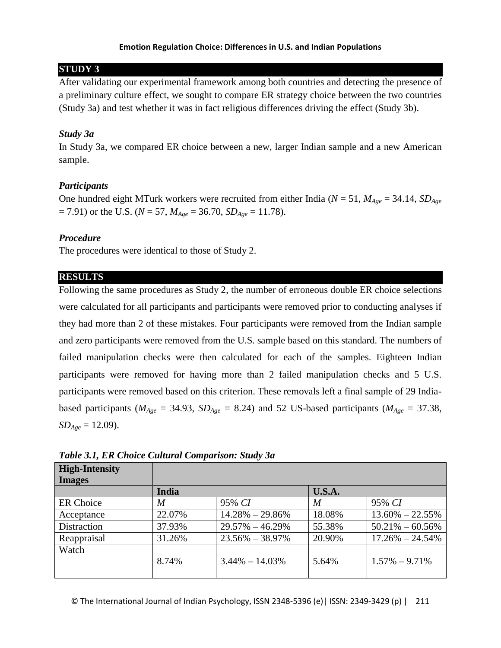# **STUDY 3**

After validating our experimental framework among both countries and detecting the presence of a preliminary culture effect, we sought to compare ER strategy choice between the two countries (Study 3a) and test whether it was in fact religious differences driving the effect (Study 3b).

## *Study 3a*

In Study 3a, we compared ER choice between a new, larger Indian sample and a new American sample.

## *Participants*

One hundred eight MTurk workers were recruited from either India ( $N = 51$ ,  $M_{Aee} = 34.14$ ,  $SD_{Aee}$  $= 7.91$ ) or the U.S. (*N* = 57, *M<sub>Age</sub>* = 36.70, *SD<sub>Age</sub>* = 11.78).

## *Procedure*

The procedures were identical to those of Study 2.

## **RESULTS**

Following the same procedures as Study 2, the number of erroneous double ER choice selections were calculated for all participants and participants were removed prior to conducting analyses if they had more than 2 of these mistakes. Four participants were removed from the Indian sample and zero participants were removed from the U.S. sample based on this standard. The numbers of failed manipulation checks were then calculated for each of the samples. Eighteen Indian participants were removed for having more than 2 failed manipulation checks and 5 U.S. participants were removed based on this criterion. These removals left a final sample of 29 Indiabased participants ( $M_{Age} = 34.93$ ,  $SD_{Age} = 8.24$ ) and 52 US-based participants ( $M_{Age} = 37.38$ ,  $SD_{Age} = 12.09$ .

| <b>High-Intensity</b><br><b>Images</b> |              |                     |               |                     |
|----------------------------------------|--------------|---------------------|---------------|---------------------|
|                                        | <b>India</b> |                     | <b>U.S.A.</b> |                     |
| ER Choice                              | M            | 95% CI              | M             | 95% CI              |
| Acceptance                             | 22.07%       | $14.28\% - 29.86\%$ | 18.08%        | $13.60\% - 22.55\%$ |
| Distraction                            | 37.93%       | $29.57\% - 46.29\%$ | 55.38%        | $50.21\% - 60.56\%$ |
| Reappraisal                            | 31.26%       | $23.56\% - 38.97\%$ | 20.90%        | $17.26\% - 24.54\%$ |
| Watch                                  | 8.74%        | $3.44\% - 14.03\%$  | 5.64%         | $1.57\% - 9.71\%$   |

*Table 3.1, ER Choice Cultural Comparison: Study 3a*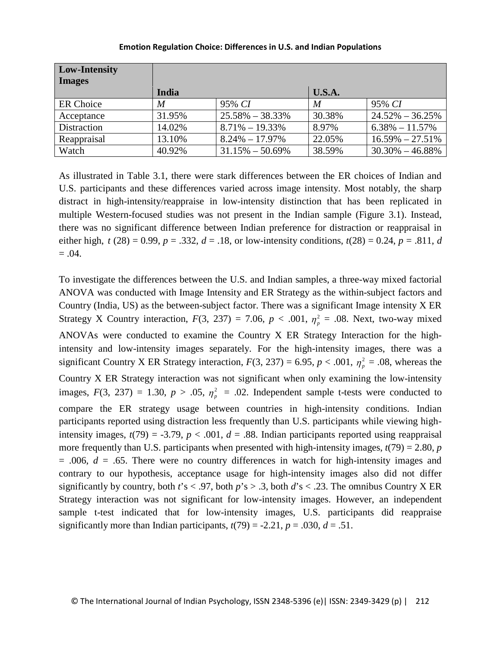| <b>Low-Intensity</b><br><b>Images</b> |        |                     |        |                     |
|---------------------------------------|--------|---------------------|--------|---------------------|
|                                       | India  |                     | U.S.A. |                     |
| <b>ER</b> Choice                      | M      | 95% CI              | M      | 95% CI              |
| Acceptance                            | 31.95% | $25.58\% - 38.33\%$ | 30.38% | $24.52\% - 36.25\%$ |
| Distraction                           | 14.02% | $8.71\% - 19.33\%$  | 8.97%  | $6.38\% - 11.57\%$  |
| Reappraisal                           | 13.10% | $8.24\% - 17.97\%$  | 22.05% | $16.59\% - 27.51\%$ |
| Watch                                 | 40.92% | $31.15\% - 50.69\%$ | 38.59% | $30.30\% - 46.88\%$ |

As illustrated in Table 3.1, there were stark differences between the ER choices of Indian and U.S. participants and these differences varied across image intensity. Most notably, the sharp distract in high-intensity/reappraise in low-intensity distinction that has been replicated in multiple Western-focused studies was not present in the Indian sample (Figure 3.1). Instead, there was no significant difference between Indian preference for distraction or reappraisal in either high,  $t(28) = 0.99$ ,  $p = .332$ ,  $d = .18$ , or low-intensity conditions,  $t(28) = 0.24$ ,  $p = .811$ , *d*  $= .04.$ 

To investigate the differences between the U.S. and Indian samples, a three-way mixed factorial ANOVA was conducted with Image Intensity and ER Strategy as the within-subject factors and Country (India, US) as the between-subject factor. There was a significant Image intensity X ER Strategy X Country interaction,  $F(3, 237) = 7.06$ ,  $p < .001$ ,  $\eta_p^2 = .08$ . Next, two-way mixed ANOVAs were conducted to examine the Country X ER Strategy Interaction for the highintensity and low-intensity images separately. For the high-intensity images, there was a significant Country X ER Strategy interaction,  $F(3, 237) = 6.95$ ,  $p < .001$ ,  $\eta_p^2 = .08$ , whereas the Country X ER Strategy interaction was not significant when only examining the low-intensity images,  $F(3, 237) = 1.30$ ,  $p > .05$ ,  $\eta_p^2 = .02$ . Independent sample t-tests were conducted to compare the ER strategy usage between countries in high-intensity conditions. Indian participants reported using distraction less frequently than U.S. participants while viewing highintensity images,  $t(79) = -3.79$ ,  $p < .001$ ,  $d = .88$ . Indian participants reported using reappraisal more frequently than U.S. participants when presented with high-intensity images,  $t(79) = 2.80$ , *p*  $= .006$ ,  $d = .65$ . There were no country differences in watch for high-intensity images and contrary to our hypothesis, acceptance usage for high-intensity images also did not differ significantly by country, both  $t$ 's < .97, both  $p$ 's > .3, both  $d$ 's < .23. The omnibus Country X ER Strategy interaction was not significant for low-intensity images. However, an independent sample t-test indicated that for low-intensity images, U.S. participants did reappraise significantly more than Indian participants,  $t(79) = -2.21$ ,  $p = .030$ ,  $d = .51$ .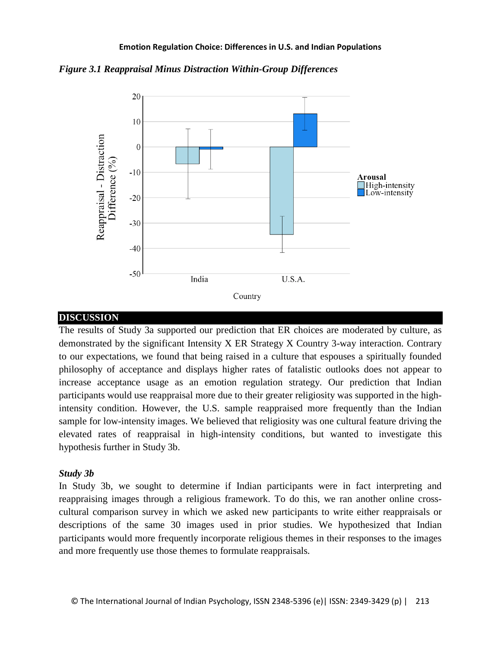*Figure 3.1 Reappraisal Minus Distraction Within-Group Differences*



# **DISCUSSION**

The results of Study 3a supported our prediction that ER choices are moderated by culture, as demonstrated by the significant Intensity X ER Strategy X Country 3-way interaction. Contrary to our expectations, we found that being raised in a culture that espouses a spiritually founded philosophy of acceptance and displays higher rates of fatalistic outlooks does not appear to increase acceptance usage as an emotion regulation strategy. Our prediction that Indian participants would use reappraisal more due to their greater religiosity was supported in the highintensity condition. However, the U.S. sample reappraised more frequently than the Indian sample for low-intensity images. We believed that religiosity was one cultural feature driving the elevated rates of reappraisal in high-intensity conditions, but wanted to investigate this hypothesis further in Study 3b.

# *Study 3b*

In Study 3b, we sought to determine if Indian participants were in fact interpreting and reappraising images through a religious framework. To do this, we ran another online crosscultural comparison survey in which we asked new participants to write either reappraisals or descriptions of the same 30 images used in prior studies. We hypothesized that Indian participants would more frequently incorporate religious themes in their responses to the images and more frequently use those themes to formulate reappraisals.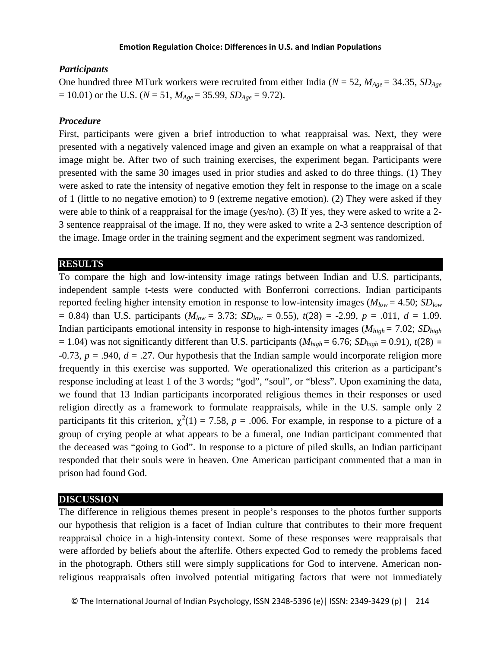## *Participants*

One hundred three MTurk workers were recruited from either India ( $N = 52$ ,  $M_{Aee} = 34.35$ ,  $SD_{Aee}$  $= 10.01$ ) or the U.S. ( $N = 51$ ,  $M_{Age} = 35.99$ ,  $SD_{Age} = 9.72$ ).

## *Procedure*

First, participants were given a brief introduction to what reappraisal was. Next, they were presented with a negatively valenced image and given an example on what a reappraisal of that image might be. After two of such training exercises, the experiment began. Participants were presented with the same 30 images used in prior studies and asked to do three things. (1) They were asked to rate the intensity of negative emotion they felt in response to the image on a scale of 1 (little to no negative emotion) to 9 (extreme negative emotion). (2) They were asked if they were able to think of a reappraisal for the image (yes/no). (3) If yes, they were asked to write a 2- 3 sentence reappraisal of the image. If no, they were asked to write a 2-3 sentence description of the image. Image order in the training segment and the experiment segment was randomized.

## **RESULTS**

To compare the high and low-intensity image ratings between Indian and U.S. participants, independent sample t-tests were conducted with Bonferroni corrections. Indian participants reported feeling higher intensity emotion in response to low-intensity images (*Mlow* = 4.50; *SDlow*  $= 0.84$ ) than U.S. participants ( $M_{low} = 3.73$ ;  $SD_{low} = 0.55$ ),  $t(28) = -2.99$ ,  $p = .011$ ,  $d = 1.09$ . Indian participants emotional intensity in response to high-intensity images (*Mhigh* = 7.02; *SDhigh*  $= 1.04$ ) was not significantly different than U.S. participants ( $M_{high} = 6.76$ ;  $SD_{high} = 0.91$ ),  $t(28) =$  $-0.73$ ,  $p = .940$ ,  $d = .27$ . Our hypothesis that the Indian sample would incorporate religion more frequently in this exercise was supported. We operationalized this criterion as a participant's response including at least 1 of the 3 words; "god", "soul", or "bless". Upon examining the data, we found that 13 Indian participants incorporated religious themes in their responses or used religion directly as a framework to formulate reappraisals, while in the U.S. sample only 2 participants fit this criterion,  $\chi^2(1) = 7.58$ ,  $p = .006$ . For example, in response to a picture of a group of crying people at what appears to be a funeral, one Indian participant commented that the deceased was "going to God". In response to a picture of piled skulls, an Indian participant responded that their souls were in heaven. One American participant commented that a man in prison had found God.

## **DISCUSSION**

The difference in religious themes present in people's responses to the photos further supports our hypothesis that religion is a facet of Indian culture that contributes to their more frequent reappraisal choice in a high-intensity context. Some of these responses were reappraisals that were afforded by beliefs about the afterlife. Others expected God to remedy the problems faced in the photograph. Others still were simply supplications for God to intervene. American nonreligious reappraisals often involved potential mitigating factors that were not immediately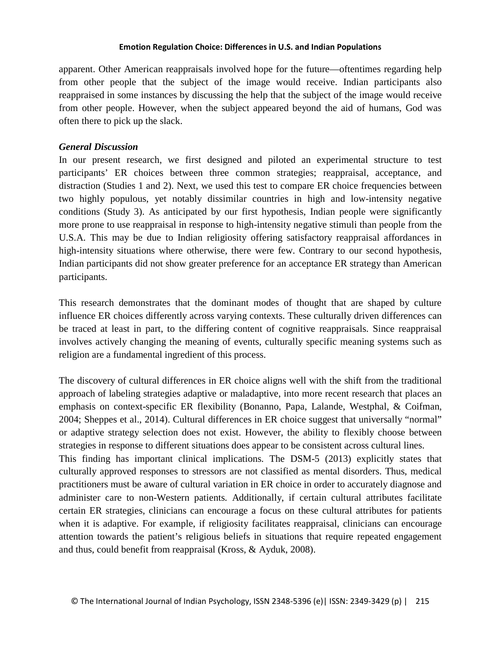apparent. Other American reappraisals involved hope for the future—oftentimes regarding help from other people that the subject of the image would receive. Indian participants also reappraised in some instances by discussing the help that the subject of the image would receive from other people. However, when the subject appeared beyond the aid of humans, God was often there to pick up the slack.

# *General Discussion*

In our present research, we first designed and piloted an experimental structure to test participants' ER choices between three common strategies; reappraisal, acceptance, and distraction (Studies 1 and 2). Next, we used this test to compare ER choice frequencies between two highly populous, yet notably dissimilar countries in high and low-intensity negative conditions (Study 3). As anticipated by our first hypothesis, Indian people were significantly more prone to use reappraisal in response to high-intensity negative stimuli than people from the U.S.A. This may be due to Indian religiosity offering satisfactory reappraisal affordances in high-intensity situations where otherwise, there were few. Contrary to our second hypothesis, Indian participants did not show greater preference for an acceptance ER strategy than American participants.

This research demonstrates that the dominant modes of thought that are shaped by culture influence ER choices differently across varying contexts. These culturally driven differences can be traced at least in part, to the differing content of cognitive reappraisals. Since reappraisal involves actively changing the meaning of events, culturally specific meaning systems such as religion are a fundamental ingredient of this process.

The discovery of cultural differences in ER choice aligns well with the shift from the traditional approach of labeling strategies adaptive or maladaptive, into more recent research that places an emphasis on context-specific ER flexibility (Bonanno, Papa, Lalande, Westphal, & Coifman, 2004; Sheppes et al., 2014). Cultural differences in ER choice suggest that universally "normal" or adaptive strategy selection does not exist. However, the ability to flexibly choose between strategies in response to different situations does appear to be consistent across cultural lines. This finding has important clinical implications. The DSM-5 (2013) explicitly states that culturally approved responses to stressors are not classified as mental disorders. Thus, medical practitioners must be aware of cultural variation in ER choice in order to accurately diagnose and administer care to non-Western patients. Additionally, if certain cultural attributes facilitate certain ER strategies, clinicians can encourage a focus on these cultural attributes for patients when it is adaptive. For example, if religiosity facilitates reappraisal, clinicians can encourage attention towards the patient's religious beliefs in situations that require repeated engagement and thus, could benefit from reappraisal (Kross, & Ayduk, 2008).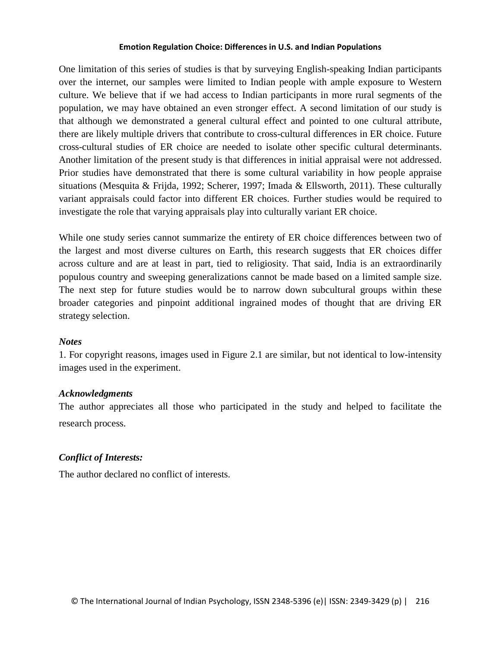One limitation of this series of studies is that by surveying English-speaking Indian participants over the internet, our samples were limited to Indian people with ample exposure to Western culture. We believe that if we had access to Indian participants in more rural segments of the population, we may have obtained an even stronger effect. A second limitation of our study is that although we demonstrated a general cultural effect and pointed to one cultural attribute, there are likely multiple drivers that contribute to cross-cultural differences in ER choice. Future cross-cultural studies of ER choice are needed to isolate other specific cultural determinants. Another limitation of the present study is that differences in initial appraisal were not addressed. Prior studies have demonstrated that there is some cultural variability in how people appraise situations (Mesquita & Frijda, 1992; Scherer, 1997; Imada & Ellsworth, 2011). These culturally variant appraisals could factor into different ER choices. Further studies would be required to investigate the role that varying appraisals play into culturally variant ER choice.

While one study series cannot summarize the entirety of ER choice differences between two of the largest and most diverse cultures on Earth, this research suggests that ER choices differ across culture and are at least in part, tied to religiosity. That said, India is an extraordinarily populous country and sweeping generalizations cannot be made based on a limited sample size. The next step for future studies would be to narrow down subcultural groups within these broader categories and pinpoint additional ingrained modes of thought that are driving ER strategy selection.

## *Notes*

1. For copyright reasons, images used in Figure 2.1 are similar, but not identical to low-intensity images used in the experiment.

## *Acknowledgments*

The author appreciates all those who participated in the study and helped to facilitate the research process.

# *Conflict of Interests:*

The author declared no conflict of interests.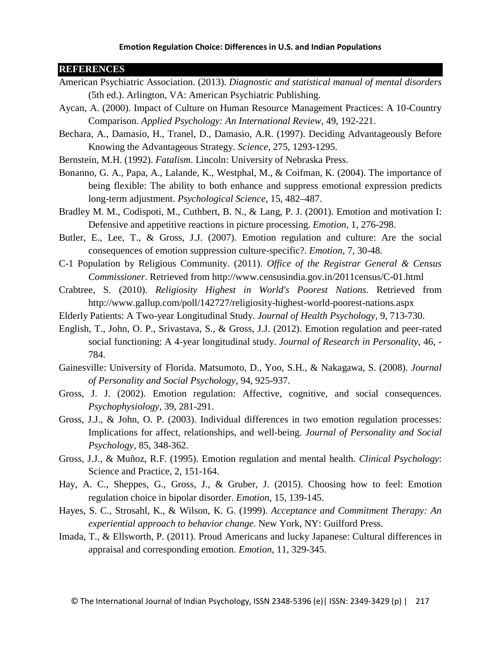## **REFERENCES**

- American Psychiatric Association. (2013). *Diagnostic and statistical manual of mental disorders*  (5th ed.). Arlington, VA: American Psychiatric Publishing.
- Aycan, A. (2000). Impact of Culture on Human Resource Management Practices: A 10-Country Comparison. *Applied Psychology: An International Review*, 49, 192-221.
- Bechara, A., Damasio, H., Tranel, D., Damasio, A.R. (1997). Deciding Advantageously Before Knowing the Advantageous Strategy. *Science*, 275, 1293-1295.
- Bernstein, M.H. (1992). *Fatalism*. Lincoln: University of Nebraska Press.
- Bonanno, G. A., Papa, A., Lalande, K., Westphal, M., & Coifman, K. (2004). The importance of being flexible: The ability to both enhance and suppress emotional expression predicts long-term adjustment. *Psychological Science*, 15, 482–487.
- Bradley M. M., Codispoti, M., Cuthbert, B. N., & Lang, P. J. (2001). Emotion and motivation I: Defensive and appetitive reactions in picture processing. *Emotion*, 1, 276-298.
- Butler, E., Lee, T., & Gross, J.J. (2007). Emotion regulation and culture: Are the social consequences of emotion suppression culture-specific?. *Emotion*, 7, 30-48.
- C-1 Population by Religious Community. (2011). *Office of the Registrar General & Census Commissioner*. Retrieved from http://www.censusindia.gov.in/2011census/C-01.html
- Crabtree, S. (2010). *Religiosity Highest in World's Poorest Nations*. Retrieved from http://www.gallup.com/poll/142727/religiosity-highest-world-poorest-nations.aspx
- Elderly Patients: A Two-year Longitudinal Study. *Journal of Health Psychology*, 9, 713-730.
- English, T., John, O. P., Srivastava, S., & Gross, J.J. (2012). Emotion regulation and peer-rated social functioning: A 4-year longitudinal study. *Journal of Research in Personality*, 46, - 784.
- Gainesville: University of Florida. Matsumoto, D., Yoo, S.H., & Nakagawa, S. (2008). *Journal of Personality and Social Psychology*, 94, 925-937.
- Gross, J. J. (2002). Emotion regulation: Affective, cognitive, and social consequences. *Psychophysiology*, 39, 281-291.
- Gross, J.J., & John, O. P. (2003). Individual differences in two emotion regulation processes: Implications for affect, relationships, and well-being. *Journal of Personality and Social Psychology*, 85, 348-362.
- Gross, J.J., & Muñoz, R.F. (1995). Emotion regulation and mental health. *Clinical Psychology*: Science and Practice, 2, 151-164.
- Hay, A. C., Sheppes, G., Gross, J., & Gruber, J. (2015). Choosing how to feel: Emotion regulation choice in bipolar disorder. *Emotion*, 15, 139-145.
- Hayes, S. C., Strosahl, K., & Wilson, K. G. (1999). *Acceptance and Commitment Therapy: An experiential approach to behavior change.* New York, NY: Guilford Press.
- Imada, T., & Ellsworth, P. (2011). Proud Americans and lucky Japanese: Cultural differences in appraisal and corresponding emotion. *Emotion*, 11, 329-345.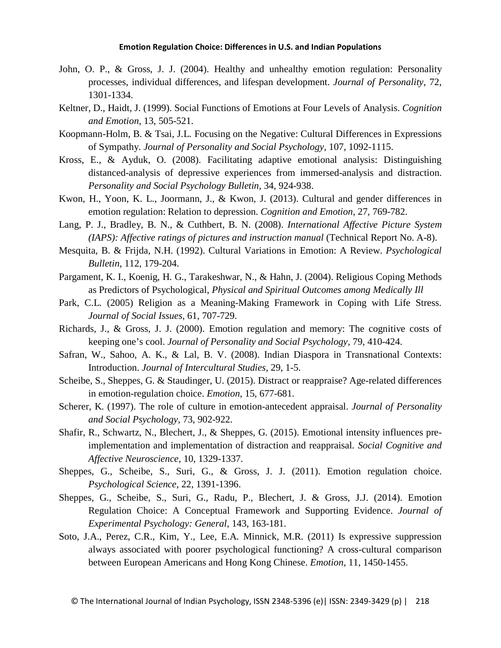- John, O. P., & Gross, J. J. (2004). Healthy and unhealthy emotion regulation: Personality processes, individual differences, and lifespan development. *Journal of Personality*, 72, 1301-1334.
- Keltner, D., Haidt, J. (1999). Social Functions of Emotions at Four Levels of Analysis. *Cognition and Emotion*, 13, 505-521.
- Koopmann-Holm, B. & Tsai, J.L. Focusing on the Negative: Cultural Differences in Expressions of Sympathy. *Journal of Personality and Social Psychology,* 107, 1092-1115.
- Kross, E., & Ayduk, O. (2008). Facilitating adaptive emotional analysis: Distinguishing distanced-analysis of depressive experiences from immersed-analysis and distraction. *Personality and Social Psychology Bulletin*, 34, 924-938.
- Kwon, H., Yoon, K. L., Joormann, J., & Kwon, J. (2013). Cultural and gender differences in emotion regulation: Relation to depression. *Cognition and Emotion*, 27, 769-782.
- Lang, P. J., Bradley, B. N., & Cuthbert, B. N. (2008). *International Affective Picture System (IAPS): Affective ratings of pictures and instruction manual* (Technical Report No. A-8).
- Mesquita, B. & Frijda, N.H. (1992). Cultural Variations in Emotion: A Review. *Psychological Bulletin*, 112, 179-204.
- Pargament, K. I., Koenig, H. G., Tarakeshwar, N., & Hahn, J. (2004). Religious Coping Methods as Predictors of Psychological, *Physical and Spiritual Outcomes among Medically Ill*
- Park, C.L. (2005) Religion as a Meaning-Making Framework in Coping with Life Stress. *Journal of Social Issues*, 61, 707-729.
- Richards, J., & Gross, J. J. (2000). Emotion regulation and memory: The cognitive costs of keeping one's cool. *Journal of Personality and Social Psychology*, 79, 410-424.
- Safran, W., Sahoo, A. K., & Lal, B. V. (2008). Indian Diaspora in Transnational Contexts: Introduction. *Journal of Intercultural Studies*, 29, 1-5.
- Scheibe, S., Sheppes, G. & Staudinger, U. (2015). Distract or reappraise? Age-related differences in emotion-regulation choice. *Emotion*, 15, 677-681.
- Scherer, K. (1997). The role of culture in emotion-antecedent appraisal. *Journal of Personality and Social Psychology*, 73, 902-922.
- Shafir, R., Schwartz, N., Blechert, J., & Sheppes, G. (2015). Emotional intensity influences preimplementation and implementation of distraction and reappraisal*. Social Cognitive and Affective Neuroscience*, 10, 1329-1337.
- Sheppes, G., Scheibe, S., Suri, G., & Gross, J. J. (2011). Emotion regulation choice. *Psychological Science*, 22, 1391-1396.
- Sheppes, G., Scheibe, S., Suri, G., Radu, P., Blechert, J. & Gross, J.J. (2014). Emotion Regulation Choice: A Conceptual Framework and Supporting Evidence. *Journal of Experimental Psychology: General*, 143, 163-181.
- Soto, J.A., Perez, C.R., Kim, Y., Lee, E.A. Minnick, M.R. (2011) Is expressive suppression always associated with poorer psychological functioning? A cross-cultural comparison between European Americans and Hong Kong Chinese. *Emotion*, 11, 1450-1455.